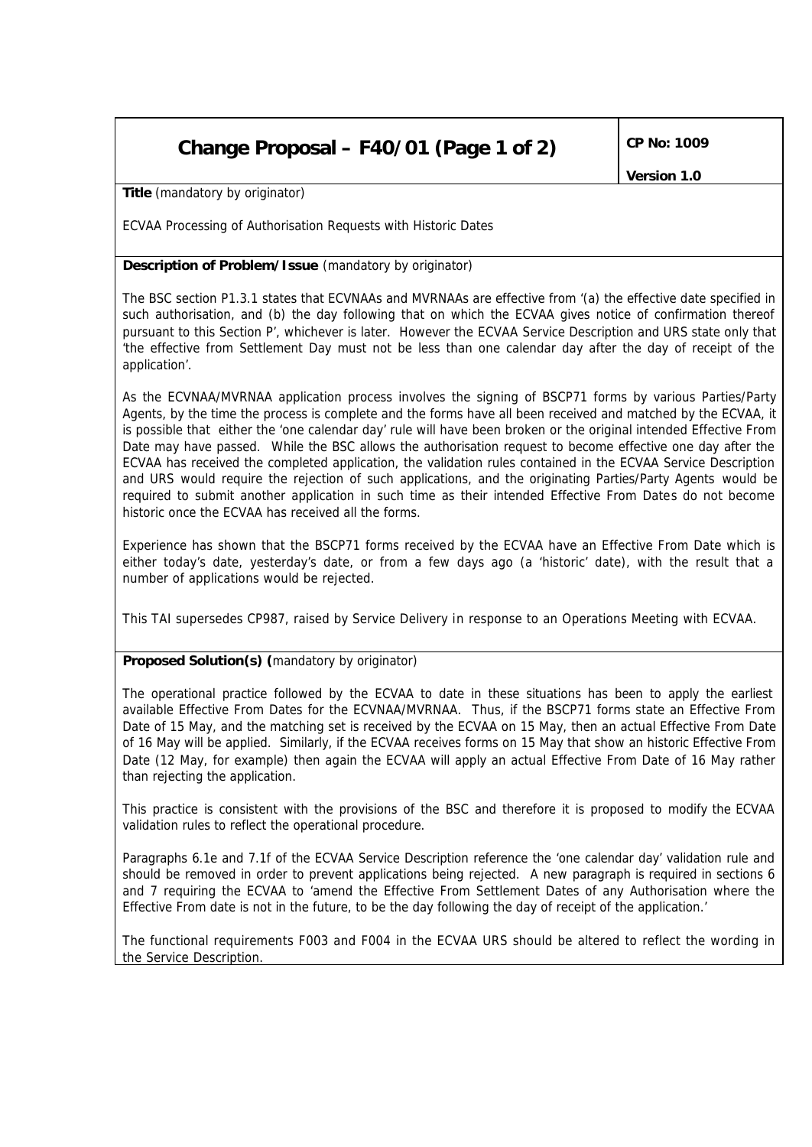## **Change Proposal – F40/01 (Page 1 of 2) CP No: 1009**

*Version 1.0*

**Title** *(mandatory by originator)*

ECVAA Processing of Authorisation Requests with Historic Dates

## **Description of Problem/Issue** *(mandatory by originator)*

The BSC section P1.3.1 states that ECVNAAs and MVRNAAs are effective from '(a) the effective date specified in such authorisation, and (b) the day following that on which the ECVAA gives notice of confirmation thereof pursuant to this Section P', whichever is later. However the ECVAA Service Description and URS state only that 'the effective from Settlement Day must not be less than one calendar day after the day of receipt of the application'.

As the ECVNAA/MVRNAA application process involves the signing of BSCP71 forms by various Parties/Party Agents, by the time the process is complete and the forms have all been received and matched by the ECVAA, it is possible that either the 'one calendar day' rule will have been broken or the original intended Effective From Date may have passed. While the BSC allows the authorisation request to become effective one day after the ECVAA has received the completed application, the validation rules contained in the ECVAA Service Description and URS would require the rejection of such applications, and the originating Parties/Party Agents would be required to submit another application in such time as their intended Effective From Dates do not become historic once the ECVAA has received all the forms.

Experience has shown that the BSCP71 forms received by the ECVAA have an Effective From Date which is either today's date, yesterday's date, or from a few days ago (a 'historic' date), with the result that a number of applications would be rejected.

This TAI supersedes CP987, raised by Service Delivery in response to an Operations Meeting with ECVAA.

## **Proposed Solution(s)** *(mandatory by originator)*

The operational practice followed by the ECVAA to date in these situations has been to apply the earliest available Effective From Dates for the ECVNAA/MVRNAA. Thus, if the BSCP71 forms state an Effective From Date of 15 May, and the matching set is received by the ECVAA on 15 May, then an actual Effective From Date of 16 May will be applied. Similarly, if the ECVAA receives forms on 15 May that show an historic Effective From Date (12 May, for example) then again the ECVAA will apply an actual Effective From Date of 16 May rather than rejecting the application.

This practice is consistent with the provisions of the BSC and therefore it is proposed to modify the ECVAA validation rules to reflect the operational procedure.

Paragraphs 6.1e and 7.1f of the ECVAA Service Description reference the 'one calendar day' validation rule and should be removed in order to prevent applications being rejected. A new paragraph is required in sections 6 and 7 requiring the ECVAA to 'amend the Effective From Settlement Dates of any Authorisation where the Effective From date is not in the future, to be the day following the day of receipt of the application.'

The functional requirements F003 and F004 in the ECVAA URS should be altered to reflect the wording in the Service Description.